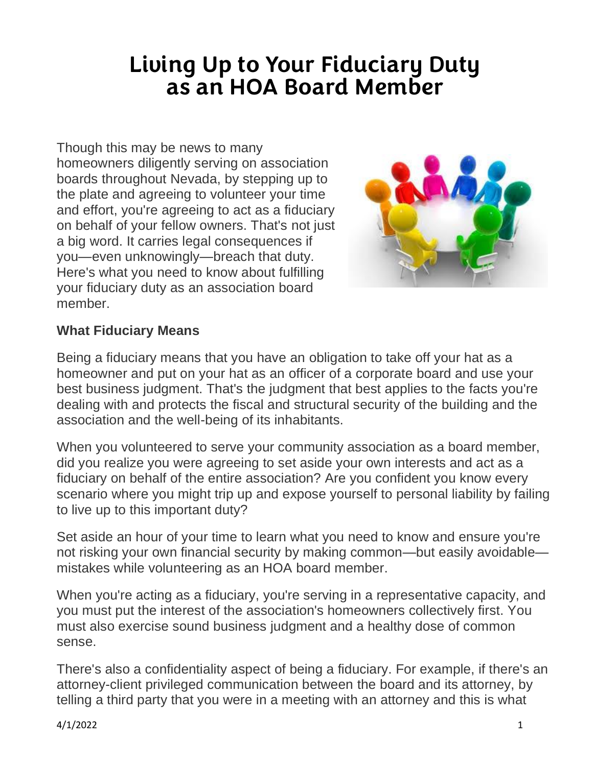## **Living Up to Your Fiduciary Duty as an HOA Board Member**

Though this may be news to many homeowners diligently serving on association boards throughout Nevada, by stepping up to the plate and agreeing to volunteer your time and effort, you're agreeing to act as a fiduciary on behalf of your fellow owners. That's not just a big word. It carries legal consequences if you—even unknowingly—breach that duty. Here's what you need to know about fulfilling your fiduciary duty as an association board member.



## **What Fiduciary Means**

Being a fiduciary means that you have an obligation to take off your hat as a homeowner and put on your hat as an officer of a corporate board and use your best business judgment. That's the judgment that best applies to the facts you're dealing with and protects the fiscal and structural security of the building and the association and the well-being of its inhabitants.

When you volunteered to serve your community association as a board member, did you realize you were agreeing to set aside your own interests and act as a fiduciary on behalf of the entire association? Are you confident you know every scenario where you might trip up and expose yourself to personal liability by failing to live up to this important duty?

Set aside an hour of your time to learn what you need to know and ensure you're not risking your own financial security by making common—but easily avoidable mistakes while volunteering as an HOA board member.

When you're acting as a fiduciary, you're serving in a representative capacity, and you must put the interest of the association's homeowners collectively first. You must also exercise sound business judgment and a healthy dose of common sense.

There's also a confidentiality aspect of being a fiduciary. For example, if there's an attorney-client privileged communication between the board and its attorney, by telling a third party that you were in a meeting with an attorney and this is what